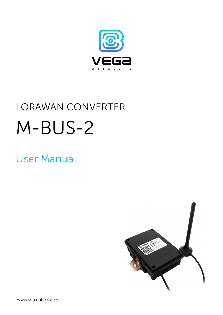

# LORAWAN CONVERTER M-BUS-2

## User Manual



www.vega-absolute.ru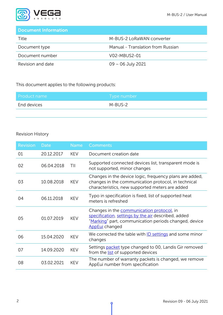

## Document Information

| Title             | M-BUS-2 LoRaWAN converter         |
|-------------------|-----------------------------------|
| Document type     | Manual - Translation from Russian |
| Document number   | V02-MBUS2-01                      |
| Revision and date | $09 - 06$ July 2021               |

<span id="page-1-0"></span>This document applies to the following products:

| Product name | Type number |
|--------------|-------------|
| End devices  | M-BUS-2     |

#### Revision History

| <b>Revision</b> | <b>Date</b> | <b>Name</b> | <b>Comments</b>                                                                                                                                                             |
|-----------------|-------------|-------------|-----------------------------------------------------------------------------------------------------------------------------------------------------------------------------|
| 01              | 20.12.2017  | <b>KEV</b>  | Document creation date                                                                                                                                                      |
| 02              | 06.04.2018  | ΤIΙ         | Supported connected devices list, transparent mode is<br>not supported, minor changes                                                                                       |
| 03              | 10.08.2018  | <b>KEV</b>  | Changes in the device logic, frequency plans are added,<br>changes in the communication protocol, in technical<br>characteristics, new supported meters are added           |
| 04              | 06.11.2018  | <b>KEV</b>  | Typo in specification is fixed, list of supported heat<br>meters is refreshed                                                                                               |
| 05              | 01.07.2019  | <b>KEV</b>  | Changes in the communication protocol, in<br>specification, settings by the air described, added<br>"Marking" part, communication periods changed, device<br>AppEui changed |
| 06              | 15.04.2020  | <b>KEV</b>  | We corrected the table with <b>ID</b> settings and some minor<br>changes                                                                                                    |
| 07              | 14.09.2020  | <b>KEV</b>  | Settings <b>packet</b> type changed to 00, Landis Gir removed<br>from the list of supported devices                                                                         |
| 08              | 03.02.2021  | <b>KEV</b>  | The number of warranty packets is changed, we remove<br>AppEui number from specification                                                                                    |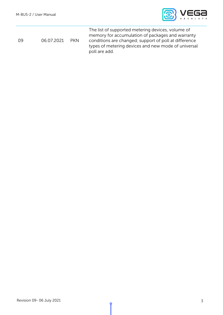

|    |            |            | The list of supported metering devices, volume of     |
|----|------------|------------|-------------------------------------------------------|
|    |            |            | memory for accumulation of packages and warranty      |
| 09 | 06.07.2021 | <b>PKN</b> | conditions are changed; support of poll at difference |
|    |            |            | types of metering devices and new mode of universal   |
|    |            |            | poll are add.                                         |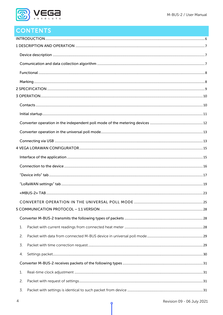

## CONTENTS

| 1. |  |
|----|--|
| 2. |  |
| 3. |  |
| 4. |  |
|    |  |
| 1. |  |
| 2. |  |
| 3. |  |
|    |  |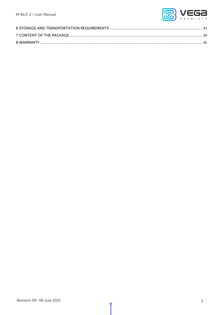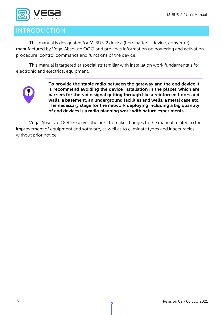

## <span id="page-5-0"></span>**INTRODUCTION**

This manual is designated for M-BUS-2 device (hereinafter – device, converter) manufactured by Vega-Absolute OOO and provides information on powering and activation procedure, control commands and functions of the device.

This manual is targeted at specialists familiar with installation work fundamentals for electronic and electrical equipment.



To provide the stable radio between the gateway and the end device it is recommend avoiding the device installation in the places which are barriers for the radio signal getting through like a reinforced floors and walls, a basement, an underground facilities and wells, a metal case etc. The necessary stage for the network deploying including a big quantity of end devices is a radio planning work with nature experiments

Vega-Absolute OOO reserves the right to make changes to the manual related to the improvement of equipment and software, as well as to eliminate typos and inaccuracies, without prior notice.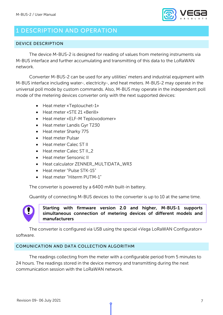

## <span id="page-6-1"></span>1 DESCRIPTION AND OPERATION

#### <span id="page-6-0"></span>DEVICE DESCRIPTION

The device M-BUS-2 is designed for reading of values from metering instruments via M-BUS interface and further accumulating and transmitting of this data to the LoRaWAN network.

Converter M-BUS-2 can be used for any utilities' meters and industrial equipment with M-BUS interface including water-, electricity-, and heat meters. M-BUS-2 may operate in the universal poll mode by custom commands. Also, M-BUS may operate in the independent poll mode of the metering devices converter only with the next supported devices:

- Heat meter «Teplouchet-1»
- Heat meter «STE 21 «Berill»
- Heat meter «ELF-M Teplovodomer»
- Heat meter Landis Gyr T230
- Heat meter Sharky 775
- Heat meter Pulsar
- Heat meter Calec ST II
- Heat meter Calec ST II\_2
- Heat meter Sensonic II
- Heat calculator ZENNER\_MULTIDATA\_WR3
- Heat meter "Pulse STK-15"
- Heat meter "Hiterm PUTM-1"

The converter is powered by a 6400 mAh built-in battery.

Quantity of connecting M-BUS devices to the converter is up to 10 at the same time.



Starting with firmware version 2.0 and higher, M-BUS-1 supports simultaneous connection of metering devices of different models and manufacturers

The converter is configured via USB using the special «Vega LoRaWAN Configurator» software.

#### <span id="page-6-2"></span>COMUNICATION AND DATA COLLECTION ALGORITHM

The readings collecting from the meter with a configurable period from 5 minutes to 24 hours. The readings stored in the device memory and transmitting during the next communication session with the LoRaWAN network.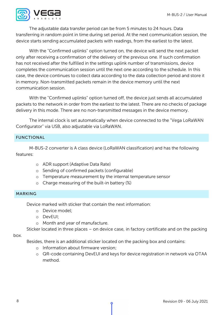

The adjustable data transfer period can be from 5 minutes to 24 hours. Data transferring in random point in time during set period. At the next communication session, the device starts sending accumulated packets with readings, from the earliest to the latest.

With the "Confirmed uplinks" option turned on, the device will send the next packet only after receiving a confirmation of the delivery of the previous one. If such confirmation has not received after the fulfilled in the settings uplink number of transmissions, device completes the communication session until the next one according to the schedule. In this case, the device continues to collect data according to the data collection period and store it in memory. Non-transmitted packets remain in the device memory until the next communication session.

With the "Confirmed uplinks" option turned off, the device just sends all accumulated packets to the network in order from the earliest to the latest. There are no checks of package delivery in this mode. There are no non-transmitted messages in the device memory.

The internal clock is set automatically when device connected to the "Vega LoRaWAN Configurator" via USB, also adjustable via LoRaWAN.

#### <span id="page-7-1"></span>FUNCTIONAL

M-BUS-2 converter is A class device (LoRaWAN classification) and has the following features:

- o ADR support (Adaptive Data Rate)
- o Sending of confirmed packets (configurable)
- o Temperature measurement by the internal temperature sensor
- $\circ$  Charge measuring of the built-in battery (%)

#### <span id="page-7-0"></span>MARKING

Device marked with sticker that contain the next information:

- o Device model;
- o DevEUI;
- o Month and year of manufacture.

Sticker located in three places – on device case, in factory certificate and on the packing

#### box.

Besides, there is an additional sticker located on the packing box and contains:

- o Information about firmware version;
- o QR-code containing DevEUI and keys for device registration in network via OTAA method.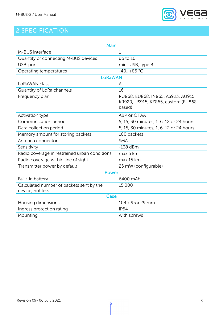

## <span id="page-8-0"></span>2 SPECIFICATION

| Main                                                         |                                                                                    |  |  |  |  |
|--------------------------------------------------------------|------------------------------------------------------------------------------------|--|--|--|--|
| M-BUS interface                                              | 1                                                                                  |  |  |  |  |
| Quantity of connecting M-BUS devices                         | up to $10$                                                                         |  |  |  |  |
| USB-port                                                     | mini-USB, type B                                                                   |  |  |  |  |
| Operating temperatures                                       | $-40+85$ °C                                                                        |  |  |  |  |
| <b>LoRaWAN</b>                                               |                                                                                    |  |  |  |  |
| LoRaWAN class                                                | A                                                                                  |  |  |  |  |
| Quantity of LoRa channels                                    | 16                                                                                 |  |  |  |  |
| Frequency plan                                               | RU868, EU868, IN865, AS923, AU915,<br>KR920, US915, KZ865, custom (EU868<br>based) |  |  |  |  |
| Activation type                                              | ABP or OTAA                                                                        |  |  |  |  |
| Communication period                                         | 5, 15, 30 minutes, 1, 6, 12 or 24 hours                                            |  |  |  |  |
| Data collection period                                       | 5, 15, 30 minutes, 1, 6, 12 or 24 hours                                            |  |  |  |  |
| Memory amount for storing packets                            | 100 packets                                                                        |  |  |  |  |
| Antenna connector                                            | <b>SMA</b>                                                                         |  |  |  |  |
| Sensitivity                                                  | $-138$ dBm                                                                         |  |  |  |  |
| Radio coverage in restrained urban conditions                | max 5 km                                                                           |  |  |  |  |
| Radio coverage within line of sight                          | max 15 km                                                                          |  |  |  |  |
| Transmitter power by default                                 | 25 mW (configurable)                                                               |  |  |  |  |
| Power                                                        |                                                                                    |  |  |  |  |
| Built-in battery                                             | 6400 mAh                                                                           |  |  |  |  |
| Calculated number of packets sent by the<br>device, not less | 15 000                                                                             |  |  |  |  |
| Case                                                         |                                                                                    |  |  |  |  |
| Housing dimensions                                           | 104 x 95 x 29 mm                                                                   |  |  |  |  |
| Ingress protection rating                                    | <b>IP54</b>                                                                        |  |  |  |  |
| Mounting                                                     | with screws                                                                        |  |  |  |  |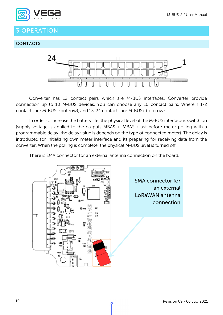

## <span id="page-9-0"></span>3 OPERATION

#### <span id="page-9-1"></span>CONTACTS



Converter has 12 contact pairs which are M-BUS interfaces. Converter provide connection up to 10 M-BUS devices. You can choose any 10 contact pairs. Wherein 1-2 contacts are M-BUS- (bot row), and 13-24 contacts are M-BUS+ (top row).

In order to increase the battery life, the physical level of the M-BUS interface is switch on (supply voltage is applied to the outputs MBAS +, MBAS-) just before meter polling with a programmable delay (the delay value is depends on the type of connected meter). The delay is introduced for initializing own meter interface and its preparing for receiving data from the converter. When the polling is complete, the physical M-BUS level is turned off.

There is SMA connector for an external antenna connection on the board.

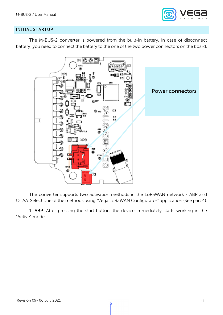

#### <span id="page-10-0"></span>INITIAL STARTUP

The M-BUS-2 converter is powered from the built-in battery. In case of disconnect battery, you need to connect the battery to the one of the two power connectors on the board.



The converter supports two activation methods in the LoRaWAN network - ABP and OTAA. Select one of the methods using "Vega LoRaWAN Configurator" application (See part 4).

1. ABP. After pressing the start button, the device immediately starts working in the "Active" mode.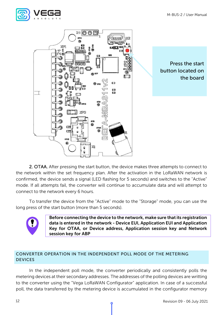



2. OTAA. After pressing the start button, the device makes three attempts to connect to the network within the set frequency plan. After the activation in the LoRaWAN network is confirmed, the device sends a signal (LED flashing for 5 seconds) and switches to the "Active" mode. If all attempts fail, the converter will continue to accumulate data and will attempt to connect to the network every 6 hours.

To transfer the device from the "Active" mode to the "Storage" mode, you can use the long press of the start button (more than 5 seconds).



Before connecting the device to the network, make sure that its registration data is entered in the network - Device EUI, Application EUI and Application Key for OTAA, or Device address, Application session key and Network session key for ABP

#### <span id="page-11-0"></span>CONVERTER OPERATION IN THE INDEPENDENT POLL MODE OF THE METERING DEVICES

In the independent poll mode, the converter periodically and consistently polls the metering devices at their secondary addresses. The addresses of the polling devices are writting to the converter using the "Vega LoRaWAN Configurator" application. In case of a successful poll, the data transferred by the metering device is accumulated in the configurator memory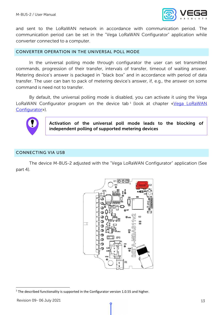

and sent to the LoRaWAN network in accordance with communication period. The communication period can be set in the "Vega LoRaWAN Configurator" application while converter connected to a computer.

#### <span id="page-12-0"></span>CONVERTER OPERATION IN THE UNIVERSAL POLL MODE

In the universal polling mode through configurator the user can set transmitted commands, progression of their transfer, intervals of transfer, timeout of waiting answer. Metering device's answer is packaged in "black box" and in accordance with period of data transfer. The user can ban to pack of metering device's answer, if, e.g., the answer on some command is need not to transfer.

By default, the universal polling mode is disabled, you can activate it using the Vega LoRaWAN Configurator program on the device tab<sup>[1](#page-12-2)</sup> (look at chapter «Vega LoRaWAN Configurator»).



Activation of the universal poll mode leads to the blocking of independent polling of supported metering devices

#### <span id="page-12-1"></span>CONNECTING VIA USB

The device M-BUS-2 adjusted with the "Vega LoRaWAN Configurator" application (See part 4).

<span id="page-12-2"></span>

 $1$  The described functionality is supported in the Configurator version 1.0.55 and higher.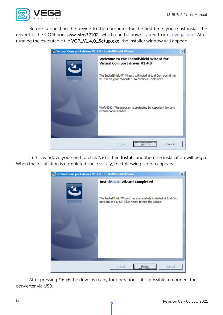

Before connecting the device to the computer for the first time, you must install the driver for the COM port stsw-stm32102, which can be downloaded from iotvega.com. After running the executable file VCP\_V1.4.0\_Setup.exe, the installer window will appear:



In this window, you need to click Next, then Install, and then the installation will begin. When the installation is completed successfully, the following screen appears:



After pressing Finish the driver is ready for operation, - it is possible to connect the converter via USB.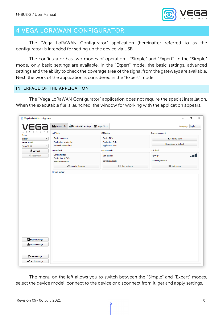

## <span id="page-14-0"></span>4 VEGA LORAWAN CONFIGURATOR

The "Vega LoRaWAN Configurator" application (hereinafter referred to as the configurator) is intended for setting up the device via USB.

The configurator has two modes of operation - "Simple" and "Expert". In the "Simple" mode, only basic settings are available. In the "Expert" mode, the basic settings, advanced settings and the ability to check the coverage area of the signal from the gateways are available. Next, the work of the application is considered in the "Expert" mode.

#### <span id="page-14-1"></span>INTERFACE OF THE APPLICATION

The "Vega LoRaWAN Configurator" application does not require the special installation. When the executable file is launched, the window for working with the application appears.

| <b>III.</b> Device info                                                                                  | LORa LoRaWAN settings | to Vega SI-11                               |                   |                             | Language: English     |
|----------------------------------------------------------------------------------------------------------|-----------------------|---------------------------------------------|-------------------|-----------------------------|-----------------------|
| L U T E<br>$\circ$<br>ABP info                                                                           |                       | OTAA info                                   |                   | Key management              |                       |
| Device address:<br>$\overline{\mathbf{v}}$                                                               |                       | Device EUI:                                 |                   |                             | Edit device keys      |
| Application session key:<br>Device model<br>Network session key:<br>Vega SI-11<br>$\overline{\mathbf v}$ |                       | <b>Application EUI:</b><br>Application key: |                   |                             | Reset keys to default |
| <b>ご</b> Connect<br>Devicel info                                                                         |                       | Network info                                |                   | Link check                  |                       |
| Device model:<br>X Disconnect<br>Device time (UTC):<br>Firmware version:                                 |                       | Join status:<br>Device address:             |                   | Quality:<br>Gateways count: | a di                  |
|                                                                                                          | Update firmware       |                                             | ((*) Join network |                             | ((*) Link check       |
|                                                                                                          |                       |                                             |                   |                             |                       |
|                                                                                                          |                       |                                             |                   |                             |                       |
| <b>E</b> Export settings<br>Import settings                                                              |                       |                                             |                   |                             |                       |

The menu on the left allows you to switch between the "Simple" and "Expert" modes, select the device model, connect to the device or disconnect from it, get and apply settings.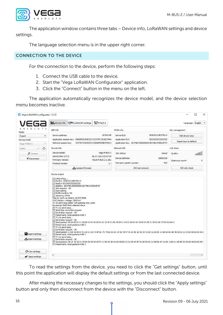

The application window contains three tabs – Device info, LoRaWAN settings and device settings.

The language selection menu is in the upper right corner.

#### <span id="page-15-0"></span>CONNECTION TO THE DEVICE

For the connection to the device, perform the following steps:

- 1. Connect the USB cable to the device.
- 2. Start the "Vega LoRaWAN Configurator" application.
- 3. Click the "Connect" button in the menu on the left.

The application automatically recognizes the device model, and the device selection menu becomes inactive.

| Vega LoRaWAN configurator 1.0.55                         |                                                                                                                                                                                                                                                                                                                                                                                                                                                                                                                                                                                                                                                                                                                                                                                                                                                                                                                                                                                                                                                                                                                                                                                                                                                                                                                            |                                                                                                  | П<br>×                                 |
|----------------------------------------------------------|----------------------------------------------------------------------------------------------------------------------------------------------------------------------------------------------------------------------------------------------------------------------------------------------------------------------------------------------------------------------------------------------------------------------------------------------------------------------------------------------------------------------------------------------------------------------------------------------------------------------------------------------------------------------------------------------------------------------------------------------------------------------------------------------------------------------------------------------------------------------------------------------------------------------------------------------------------------------------------------------------------------------------------------------------------------------------------------------------------------------------------------------------------------------------------------------------------------------------------------------------------------------------------------------------------------------------|--------------------------------------------------------------------------------------------------|----------------------------------------|
|                                                          | <b>III.</b> Device info<br><b>TITM-BUS-2</b><br>LORa LoRaWAN settings                                                                                                                                                                                                                                                                                                                                                                                                                                                                                                                                                                                                                                                                                                                                                                                                                                                                                                                                                                                                                                                                                                                                                                                                                                                      |                                                                                                  | Language: English $\blacktriangledown$ |
| U T<br>Mode:                                             | ABP info                                                                                                                                                                                                                                                                                                                                                                                                                                                                                                                                                                                                                                                                                                                                                                                                                                                                                                                                                                                                                                                                                                                                                                                                                                                                                                                   | OTAA info                                                                                        | Key management                         |
| $\overline{\phantom{a}}$<br>Expert                       | Device address:<br>007A012B                                                                                                                                                                                                                                                                                                                                                                                                                                                                                                                                                                                                                                                                                                                                                                                                                                                                                                                                                                                                                                                                                                                                                                                                                                                                                                | Device EUI:<br>303632315B375613                                                                  | Edit device keys                       |
| Device model<br>$\overline{\phantom{a}}$<br>Vega M-BUS-2 | Application session key: 29000F003036323132374713626D7944<br>Network session key: 323747133036323129000F005B375613                                                                                                                                                                                                                                                                                                                                                                                                                                                                                                                                                                                                                                                                                                                                                                                                                                                                                                                                                                                                                                                                                                                                                                                                         | <b>Application EUI:</b><br>3033425553203220<br>Application key: 1B374813000000001B374813395A2F57 | Reset keys to default                  |
| G<br>COM <sub>3</sub>                                    | Devicel info                                                                                                                                                                                                                                                                                                                                                                                                                                                                                                                                                                                                                                                                                                                                                                                                                                                                                                                                                                                                                                                                                                                                                                                                                                                                                                               | Network info                                                                                     | Link check                             |
| <b>、亨</b> Connect<br>X Disconnect                        | Device model:<br>Vega M-BUS-2<br>Device time (UTC):<br>08.07.2021 05:57:09                                                                                                                                                                                                                                                                                                                                                                                                                                                                                                                                                                                                                                                                                                                                                                                                                                                                                                                                                                                                                                                                                                                                                                                                                                                 | Join status:<br>Joined<br>Device address:<br>18000128                                            | llano<br>Ouality:                      |
|                                                          | VEGA M-BUS-2 2.3EU<br>Firmware version:<br>Protocol version:<br>1.1                                                                                                                                                                                                                                                                                                                                                                                                                                                                                                                                                                                                                                                                                                                                                                                                                                                                                                                                                                                                                                                                                                                                                                                                                                                        | Warranty packet counter:<br>423                                                                  | Gateways count:<br>$\mathbf 0$         |
|                                                          | Update firmware                                                                                                                                                                                                                                                                                                                                                                                                                                                                                                                                                                                                                                                                                                                                                                                                                                                                                                                                                                                                                                                                                                                                                                                                                                                                                                            | ((.) Join network                                                                                | ((a) Link check                        |
| <b>Export settings</b><br>Import settings                | Device output<br>[L] LoRa initing<br>[L] DevEui: 303632315B375613<br>[L] AppEui: 3033425553203220<br>[L] AppKey: 1B374813000000001B374813395A2F57<br>[L] Join request - OK<br>[L] Start joining<br>[L] MLME-Confirm: OK<br>[L] Joined by OTAA<br>Time to warm-up meters 1625723696<br>[HW] Battery voltage: 3605 mV<br>Try to poll m-bus meter with address 65511569<br>No answer 0xE5 from selected slave<br>[T] Try to send data<br>[T] Send time correction request<br>[L] Send data request - OK<br>[T] Packet sent, total packets in BB 3<br>[T] Try to send data<br>[L] Send data request - OK<br>[T] Send packet: 00 04 00 01 01 05 00 01 01 08 00 01 01 10 00 01 06 20 00 01 04 21 00 01 00 30 00 01 05 31 00 01 06 37 00 02 A4 01<br>[T] Packet sent, total packets in BB 2<br>ITI Try to send data<br>[L] Send data request - OK<br>[T] Send packet: C3 00 56 65 67 61 2D 61 62 73 6F 6C 75 74 65 00 AC 14 56 45 47 41 20 4D 2D 42 55 53 2D 32 00 00 1C 6B 60 DD AE 40 00 01 02 03 00 00 63 00 00 0<br>[T] Packet sent, total packets in BB 1<br>[T] Try to send data<br>[L] Send data request - OK<br>[T] Send packet: 0A 1F 29 53 01 00 00 00 00 00 00 F0 14 00 20 5D A1 00 08 8D C2 01 08 AF BF 01 08 09 AC 01 08 6D AF 01 08 13 B2 01 08 9D D2 00 08 98 D2 00 08 9<br>[T] Packet sent, total packets in BB 0 |                                                                                                  |                                        |
| Get settings                                             |                                                                                                                                                                                                                                                                                                                                                                                                                                                                                                                                                                                                                                                                                                                                                                                                                                                                                                                                                                                                                                                                                                                                                                                                                                                                                                                            |                                                                                                  |                                        |
| Apply settings                                           | $\blacktriangleleft$                                                                                                                                                                                                                                                                                                                                                                                                                                                                                                                                                                                                                                                                                                                                                                                                                                                                                                                                                                                                                                                                                                                                                                                                                                                                                                       |                                                                                                  | Þ                                      |

To read the settings from the device, you need to click the "Get settings" button, until this point the application will display the default settings or from the last connected device.

After making the necessary changes to the settings, you should click the "Apply settings" button and only then disconnect from the device with the "Disconnect" button.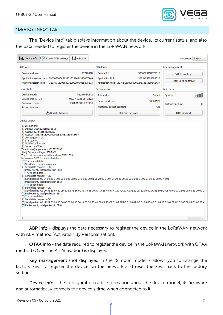

#### <span id="page-16-0"></span>"DEVICE INFO" TAB

The "Device info" tab displays information about the device, its current status, and also the data needed to register the device in the LoRaWAN network.

| <b>III.</b> Device info<br>LORa LoRaWAN settings                                                                                                                                                                                                                                                                                                                                                                                                                                                                                                                                                                                                                                                                                                                                                                                                                                                                                                                                                                                                                                                                                                                                                                                                                                      | titm-BUS-2                                                       |                                                                                             |                                      | Language: English                                                  |
|---------------------------------------------------------------------------------------------------------------------------------------------------------------------------------------------------------------------------------------------------------------------------------------------------------------------------------------------------------------------------------------------------------------------------------------------------------------------------------------------------------------------------------------------------------------------------------------------------------------------------------------------------------------------------------------------------------------------------------------------------------------------------------------------------------------------------------------------------------------------------------------------------------------------------------------------------------------------------------------------------------------------------------------------------------------------------------------------------------------------------------------------------------------------------------------------------------------------------------------------------------------------------------------|------------------------------------------------------------------|---------------------------------------------------------------------------------------------|--------------------------------------|--------------------------------------------------------------------|
| ABP info                                                                                                                                                                                                                                                                                                                                                                                                                                                                                                                                                                                                                                                                                                                                                                                                                                                                                                                                                                                                                                                                                                                                                                                                                                                                              |                                                                  | OTAA info                                                                                   |                                      | Key management                                                     |
| Device address:<br>Application session key: 29000F003036323132374713626D7944<br>Network session key:                                                                                                                                                                                                                                                                                                                                                                                                                                                                                                                                                                                                                                                                                                                                                                                                                                                                                                                                                                                                                                                                                                                                                                                  | 007A012B<br>323747133036323129000F005B375613                     | Device EUI:<br><b>Application EUI:</b><br>Application key: 1B374813000000001B374813395A2F57 | 303632315B375613<br>3033425553203220 | Edit device keys<br>Reset keys to default                          |
| Devicel info                                                                                                                                                                                                                                                                                                                                                                                                                                                                                                                                                                                                                                                                                                                                                                                                                                                                                                                                                                                                                                                                                                                                                                                                                                                                          |                                                                  | Network info                                                                                |                                      | Link check                                                         |
| Device model:<br>Device time (UTC):<br>Firmware version:<br>Protocol version:<br>Update firmware                                                                                                                                                                                                                                                                                                                                                                                                                                                                                                                                                                                                                                                                                                                                                                                                                                                                                                                                                                                                                                                                                                                                                                                      | Vega M-BUS-2<br>08.07.2021 05:57:23<br>VEGA M-BUS-2 2.3EU<br>1.1 | Join status:<br>Device address:<br>Warranty packet counter:<br>((*)) Join network           | Joined<br>18000128<br>423            | <b>ODDD</b><br>Ouality:<br>0<br>Gateways count:<br>((*) Link check |
|                                                                                                                                                                                                                                                                                                                                                                                                                                                                                                                                                                                                                                                                                                                                                                                                                                                                                                                                                                                                                                                                                                                                                                                                                                                                                       |                                                                  |                                                                                             |                                      |                                                                    |
| [L] DevEui: 303632315B375613<br>[L] AppEui: 3033425553203220<br>[L] AppKey: 1B374813000000001B374813395A2F57<br>[L] Join request - OK<br>[L] Start joining<br>[L] MLME-Confirm: OK<br>[L] Joined by OTAA<br>Time to warm-up meters 1625723696<br>[HW] Battery voltage: 3605 mV<br>Try to poll m-bus meter with address 65511569<br>No answer 0xE5 from selected slave<br>[T] Try to send data<br>[T] Send time correction request<br>[L] Send data request - OK<br>[T] Packet sent, total packets in BB 3<br>[T] Try to send data<br>[L] Send data request - OK<br>[T] Send packet: 00 04 00 01 01 05 00 01 01 08 00 01 01 10 00 01 06 20 00 01 04 21 00 01 00 30 00 01 05 31 00 01 06 37 00 02 A4 01<br>[T] Packet sent, total packets in BB 2<br>[T] Try to send data<br>[L] Send data request - OK<br>[T] Send packet: C3 00 56 65 67 61 2D 61 62 73 6F 6C 75 74 65 00 AC 14 56 45 47 41 20 4D 2D 42 55 53 2D 32 00 00 1C 6B 60 DD AE 40 00 01 02 03 00 00 63 00 00 C<br>[T] Packet sent, total packets in BB 1<br>[T] Try to send data<br>[L] Send data request - OK<br>[T] Send packet: 0A 1F 29 53 01 00 00 00 00 00 00 F0 14 00 20 5D A1 00 08 8D C2 01 08 AF BF 01 08 09 AC 01 08 6D AF 01 08 13 B2 01 08 9D D2 00 08 98 D2 00 08 4<br>[T] Packet sent, total packets in BB 0 |                                                                  |                                                                                             |                                      |                                                                    |

ABP info - displays the data necessary to register the device in the LoRaWAN network with ABP method (Activation By Personalization).

OTAA info - the data required to register the device in the LoRaWAN network with OTAA method (Over The Air Activation) is displayed.

Key management (not displayed in the "Simple" mode) - allows you to change the factory keys to register the device on the network and reset the keys back to the factory settings.

Device info - the configurator reads information about the device model, its firmware and automatically corrects the device's time when connected to it.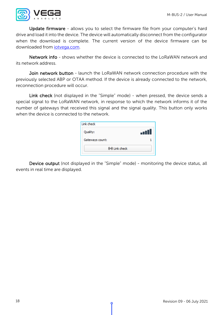

Update firmware - allows you to select the firmware file from your computer's hard drive and load it into the device. The device will automatically disconnect from the configurator when the download is complete. The current version of the device firmware can be downloaded from [iotvega.com.](http://www.iotvega.com/)

Network info - shows whether the device is connected to the LoRaWAN network and its network address.

Join network button - launch the LoRaWAN network connection procedure with the previously selected ABP or OTAA method. If the device is already connected to the network, reconnection procedure will occur.

Link check (not displayed in the "Simple" mode) - when pressed, the device sends a special signal to the LoRaWAN network, in response to which the network informs it of the number of gateways that received this signal and the signal quality. This button only works when the device is connected to the network.

| Link check      |      |
|-----------------|------|
| Quality:        | . II |
| Gateways count: |      |
| ((*) Link check |      |

Device output (not displayed in the "Simple" mode) - monitoring the device status, all events in real time are displayed.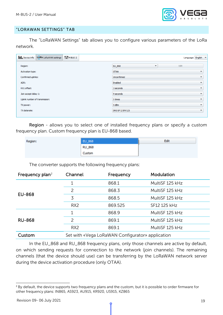

#### <span id="page-18-0"></span>"LORAWAN SETTINGS" TAB

The "LoRaWAN Settings" tab allows you to configure various parameters of the LoRa network.

| <sup>↑↓↑</sup> M-BUS-2<br>Device info LORa LoRaWAN settings | Language: English v                        |  |
|-------------------------------------------------------------|--------------------------------------------|--|
| Region:                                                     | Edit<br>EU_868<br>$\overline{\mathbf{v}}$  |  |
| Activation type:                                            | <b>OTAA</b><br>$\overline{\phantom{a}}$    |  |
| Confirmed uplinks:                                          | Unconfirmed<br>$\overline{\phantom{a}}$    |  |
| ADR:                                                        | Enabled<br>$\overline{\phantom{a}}$        |  |
| RX1 offset:                                                 | 3 seconds<br>$\overline{\phantom{a}}$      |  |
| Join accept delay 1:                                        | 9 seconds<br>$\overline{\phantom{a}}$      |  |
| Uplink number of transmission:                              | 5 times<br>$\overline{\mathbf{v}}$         |  |
| TX power:                                                   | 5 dBm<br>$\overline{\phantom{a}}$          |  |
| TX datarate:                                                | DR0 SF12 BW125<br>$\overline{\phantom{a}}$ |  |
|                                                             |                                            |  |

Region - allows you to select one of installed frequency plans or specify a custom frequency plan. Custom frequency plan is EU-868 based.

| Region: | EU_868 | Edit |
|---------|--------|------|
|         | RU_868 |      |
|         | Custom |      |

The converter supports the following frequency plans:

| Frequency plan <sup>2</sup> | Channel                                          | Frequency | Modulation      |  |
|-----------------------------|--------------------------------------------------|-----------|-----------------|--|
|                             |                                                  | 868.1     | MultiSF 125 kHz |  |
|                             | $\mathcal{P}$                                    | 868.3     | MultiSF 125 kHz |  |
| <b>EU-868</b>               | 3                                                | 868.5     | MultiSF 125 kHz |  |
|                             | RX <sub>2</sub>                                  | 869.525   | SF12 125 kHz    |  |
|                             |                                                  | 868.9     | MultiSF 125 kHz |  |
| <b>RU-868</b>               | 2                                                | 869.1     | MultiSF 125 kHz |  |
|                             | RX <sub>2</sub>                                  | 869.1     | MultiSF 125 kHz |  |
| Custom                      | Set with «Vega LoRaWAN Configurator» application |           |                 |  |

In the EU\_868 and RU\_868 frequency plans, only those channels are active by default, on which sending requests for connection to the network (join channels). The remaining channels (that the device should use) can be transferring by the LoRaWAN network server during the device activation procedure (only OTAA).

<span id="page-18-1"></span><sup>&</sup>lt;sup>2</sup> By default, the device supports two frequency plans and the custom, but it is possible to order firmware for other frequency plans: IN865, AS923, AU915, KR920, US915, KZ865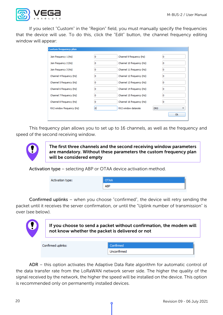

If you select "Custom" in the "Region" field, you must manually specify the frequencies that the device will use. To do this, click the "Edit" button, the channel frequency editing window will appear:

| Custom frequency plan     |   |                           |                 |
|---------------------------|---|---------------------------|-----------------|
| Join frequency 1 (Hz)     | n | Channel 9 frequency (Hz)  | 0               |
| Join frequency 2 (Hz)     | n | Channel 10 frequency (Hz) | 0               |
| Join frequency 3 (Hz)     | o | Channel 11 frequency (Hz) | 0               |
| Channel 4 frequency (Hz)  | o | Channel 12 frequency (Hz) | 0               |
| Channel 5 frequency (Hz)  | 0 | Channel 13 frequency (Hz) | 0               |
| Channel 6 frequency (Hz)  | o | Channel 14 frequency (Hz) | o               |
| Channel 7 frequency (Hz)  | n | Channel 15 frequency (Hz) | 0               |
| Channel 8 frequency (Hz)  | o | Channel 16 frequency (Hz) | 0               |
| RX2 window frequency (Hz) | o | RX2 window datarate       | DR <sub>0</sub> |
|                           |   |                           | <b>Ok</b>       |
|                           |   |                           |                 |

This frequency plan allows you to set up to 16 channels, as well as the frequency and speed of the second receiving window.

The first three channels and the second receiving window parameters are mandatory. Without these parameters the custom frequency plan will be considered empty

Activation type – selecting ABP or OTAA device activation method.

| Activation type: | <b>OTAA</b> |
|------------------|-------------|
|                  | <b>ABP</b>  |

Confirmed uplinks – when you choose "confirmed", the device will retry sending the packet until it receives the server confirmation, or until the "Uplink number of transmission" is over (see below).



If you choose to send a packet without confirmation, the modem will not know whether the packet is delivered or not

Confirmed uplinks: Confirmed Unconfirmed

ADR – this option activates the Adaptive Data Rate algorithm for automatic control of the data transfer rate from the LoRaWAN network server side. The higher the quality of the signal received by the network, the higher the speed will be installed on the device. This option is recommended only on permanently installed devices.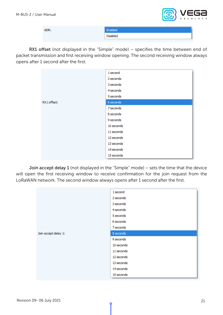

| ADR: | Enabled  |
|------|----------|
|      | Disabled |

RX1 offset (not displayed in the "Simple" mode) - specifies the time between end of packet transmission and first receiving window opening. The second receiving window always opens after 1 second after the first.

|             | 1 second   |
|-------------|------------|
|             | 2 seconds  |
|             | 3 seconds  |
|             | 4 seconds  |
|             | 5 seconds  |
| RX1 offset: | 6 seconds  |
|             | 7 seconds  |
|             | 8 seconds  |
|             | 9 seconds  |
|             | 10 seconds |
|             | 11 seconds |
|             | 12 seconds |
|             | 13 seconds |
|             | 14 seconds |
|             | 15 seconds |

Join accept delay 1 (not displayed in the "Simple" mode) – sets the time that the device will open the first receiving window to receive confirmation for the join request from the LoRaWAN network. The second window always opens after 1 second after the first.

|                      | 1 second   |
|----------------------|------------|
|                      | 2 seconds  |
|                      | 3 seconds  |
|                      | 4 seconds  |
|                      | 5 seconds  |
|                      | 6 seconds  |
|                      | 7 seconds  |
| Join accept delay 1: | 8 seconds  |
|                      | 9 seconds  |
|                      | 10 seconds |
|                      | 11 seconds |
|                      | 12 seconds |
|                      | 13 seconds |
|                      | 14 seconds |
|                      | 15 seconds |
|                      |            |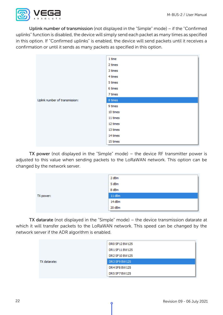

Uplink number of transmission (not displayed in the "Simple" mode) – if the "Confirmed uplinks" function is disabled, the device will simply send each packet as many times as specified in this option. If "Confirmed uplinks" is enabled, the device will send packets until it receives a confirmation or until it sends as many packets as specified in this option.

|                                | 1 time   |
|--------------------------------|----------|
|                                | 2 times  |
|                                | 3 times  |
|                                | 4 times  |
|                                | 5 times  |
|                                | 6 times  |
|                                | 7 times  |
| Uplink number of transmission: | 8 times  |
|                                | 9 times  |
|                                | 10 times |
|                                | 11 times |
|                                | 12 times |
|                                | 13 times |
|                                | 14 times |
|                                | 15 times |

TX power (not displayed in the "Simple" mode) – the device RF transmitter power is adjusted to this value when sending packets to the LoRaWAN network. This option can be changed by the network server.

|           | 2 dBm  |
|-----------|--------|
|           | 5 dBm  |
|           | 8 dBm  |
| TX power: | 11 dBm |
|           | 14 dBm |
|           | 20 dBm |

TX datarate (not displayed in the "Simple" mode) – the device transmission datarate at which it will transfer packets to the LoRaWAN network. This speed can be changed by the network server if the ADR algorithm is enabled.

|              | DR0 SF12 BW125 |
|--------------|----------------|
|              | DR1 SF11 BW125 |
|              | DR2 SF10 BW125 |
| TX datarate: | DR3 SF9 BW125  |
|              | DR4 SF8 BW125  |
|              | DR5 SF7 BW125  |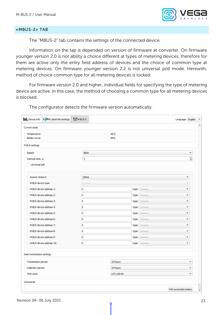

#### <span id="page-22-0"></span>«MBUS-2» TAB

The "MBUS-2" tab contains the settings of the connected device.

Information on the tap is depended on version of firmware at converter. On firmware younger version 2.0 is not ability a choice different at types of metering devices, therefore for them are active only the entry field address of devices and the choice of common type at metering devices. On firmware younger version 2.2 is not universal poll mode. Herewith, method of choice common type for all metering devices is locked.

For firmware version 2.0 and higher, individual fields for specifying the type of metering device are active. In this case, the method of choosing a common type for all metering devices is blocked.

| <b>III.</b> Device info    | LORa LoRaWAN settings    | tom-BUS-2 |           |       |            | Language: English |                          |
|----------------------------|--------------------------|-----------|-----------|-------|------------|-------------------|--------------------------|
| Current state              |                          |           |           |       |            |                   |                          |
| Temperature:               |                          |           | 26°C      |       |            |                   |                          |
| Battery level:             |                          |           | 99%       |       |            |                   |                          |
| M-BUS settings             |                          |           |           |       |            |                   |                          |
| Speed:                     |                          | 9600      |           |       |            |                   | $\overline{\mathbf v}$   |
| Warmup time, s:            |                          | 5         |           |       |            |                   | $\div$                   |
| Universal poll             |                          |           |           |       |            |                   |                          |
| Answer timeout:            |                          | 100ms     |           |       |            |                   | $\overline{\phantom{a}}$ |
| M-BUS device type:         |                          |           |           |       |            |                   | $\overline{\phantom{a}}$ |
|                            | M-BUS device address 1:  | 0         |           | type: |            |                   | $\overline{\phantom{a}}$ |
|                            | M-BUS device address 2:  | o         |           | type: | ---------  |                   | $\overline{\phantom{a}}$ |
|                            | M-BUS device address 3:  | o         |           | type: |            |                   | $\overline{\phantom{a}}$ |
|                            | M-BUS device address 4:  | o         |           | type: |            |                   | $\overline{\phantom{a}}$ |
|                            | M-BUS device address 5:  | ١o        |           | type: |            |                   | $\overline{\phantom{a}}$ |
|                            | M-BUS device address 6:  | o         |           | type: | ---------  |                   | $\overline{\phantom{a}}$ |
|                            | M-BUS device address 7:  | lo.       |           | type: | ---------- |                   | $\overline{\mathbf{v}}$  |
|                            | M-BUS device address 8:  | ١o        |           | type: | ---------  |                   | $\overline{\phantom{a}}$ |
|                            | M-BUS device address 9:  | O         |           | type: | .          |                   | $\overline{\phantom{a}}$ |
|                            | M-BUS device address 10: | o         |           | type: | ---------- |                   | ▼                        |
| Data transmission settings |                          |           |           |       |            |                   |                          |
| Transmission period:       |                          |           | 24 hours  |       |            |                   | $\overline{\phantom{a}}$ |
| Collection period:         |                          |           | 24 hours  |       |            |                   | $\overline{\mathbf{v}}$  |
| Time zone:                 |                          |           | UTC+00:00 |       |            |                   | $\overline{\mathbf v}$   |
| Commands                   |                          |           |           |       |            |                   |                          |
|                            |                          |           |           |       |            |                   | Poll connected meters    |

The configurator detects the firmware version automatically.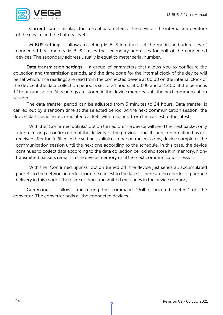

Current state – displays the current parameters of the device - the internal temperature of the device and the battery level.

M-BUS settings – allows to setting M-BUS interface, set the model and addresses of connected heat meters. M-BUS-1 uses the secondary addresses for poll of the connected devices. The secondary address usually is equal to meter serial number.

Data transmission settings – a group of parameters that allows you to configure the collection and transmission periods, and the time zone for the internal clock of the device will be set which. The readings are read from the connected device at 00.00 on the internal clock of the device if the data collection period is set to 24 hours, at 00.00 and at 12.00, if the period is 12 hours and so on. All readings are stored in the device memory until the next communication session.

The data transfer period can be adjusted from 5 minutes to 24 hours. Data transfer is carried out by a random time at the selected period. At the next communication session, the device starts sending accumulated packets with readings, from the earliest to the latest.

With the "Confirmed uplinks" option turned on, the device will send the next packet only after receiving a confirmation of the delivery of the previous one. If such confirmation has not received after the fulfilled in the settings uplink number of transmissions, device completes the communication session until the next one according to the schedule. In this case, the device continues to collect data according to the data collection period and store it in memory. Nontransmitted packets remain in the device memory until the next communication session.

With the "Confirmed uplinks" option turned off, the device just sends all accumulated packets to the network in order from the earliest to the latest. There are no checks of package delivery in this mode. There are no non-transmitted messages in the device memory.

Commands – allows transferring the command "Poll connected meters" on the converter. The converter polls all the connected devices.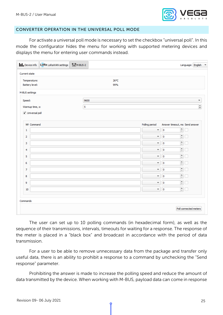

#### <span id="page-24-0"></span>CONVERTER OPERATION IN THE UNIVERSAL POLL MODE

For activate a universal poll mode is necessary to set the checkbox "universal poll". In this mode the configurator hides the menu for working with supported metering devices and displays the menu for entering user commands instead.

| <sup>↑↓↑</sup> M-BUS-2<br>LORa LoRaWAN settings<br><b>III.</b> Device info |             |                           |                                                                 | Language: English =    |
|----------------------------------------------------------------------------|-------------|---------------------------|-----------------------------------------------------------------|------------------------|
| Current state                                                              |             |                           |                                                                 |                        |
| Temperature:<br>Battery level:                                             | 26°C<br>99% |                           |                                                                 |                        |
| M-BUS settings                                                             |             |                           |                                                                 |                        |
| Speed:                                                                     | 9600        |                           |                                                                 | $\overline{\mathbf v}$ |
| Warmup time, s:                                                            | 5           |                           |                                                                 | $\div$                 |
| V Universal poll                                                           |             |                           |                                                                 |                        |
| Nº Command                                                                 |             | Polling period            | Answer timeout, ms Send answer                                  |                        |
| $\mathbf{1}$                                                               |             | $\overline{\mathbf{v}}$   | $\stackrel{\bullet}{\phantom{}_{\circ}}$<br>$\mathbf 0$         |                        |
| $\overline{\mathbf{2}}$                                                    |             | $\overline{\phantom{a}}$  | $\stackrel{\blacktriangle}{\!\!=}$<br>$\mathbf 0$               |                        |
| 3                                                                          |             | $\overline{\mathbf{v}}$   | $\frac{1}{\sqrt{2}}$<br>$\pmb{0}$                               |                        |
| $\overline{4}$                                                             |             | $\overline{\mathbf{v}}$   | ŧ<br>$\pmb{0}$                                                  |                        |
| 5                                                                          |             | $\boldsymbol{\mathrm{v}}$ | ŧ<br>$\bf 0$                                                    |                        |
| 6                                                                          |             | $\overline{\mathbf{v}}$   | $\Rightarrow$<br>$\mathbf 0$                                    |                        |
| $\overline{7}$                                                             |             | $\overline{\mathbf{v}}$   | $\frac{\bullet}{\tau}$<br>$\bf 0$                               |                        |
| 8                                                                          |             | $\overline{\phantom{a}}$  | ŧ<br>$\mathbf 0$                                                |                        |
| 9                                                                          |             | $\overline{\mathbf{v}}$   | ŧ<br>$\mathbf 0$                                                |                        |
| 10                                                                         |             | $\overline{\phantom{a}}$  | $\stackrel{\blacktriangle}{\scriptstyle \dashv}$<br>$\mathbf 0$ |                        |
|                                                                            |             |                           |                                                                 |                        |
| Commands                                                                   |             |                           |                                                                 |                        |
|                                                                            |             |                           |                                                                 | Poll connected meters  |

The user can set up to 10 polling commands (in hexadecimal form), as well as the sequence of their transmissions, intervals, timeouts for waiting for a response. The response of the meter is placed in a "black box" and broadcast in accordance with the period of data transmission.

For a user to be able to remove unnecessary data from the package and transfer only useful data, there is an ability to prohibit a response to a command by unchecking the "Send response" parameter.

Prohibiting the answer is made to increase the polling speed and reduce the amount of data transmitted by the device. When working with M-BUS, payload data can come in response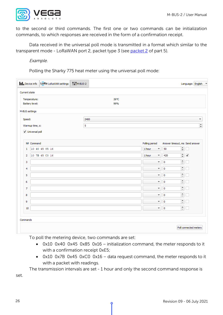

to the second or third commands. The first one or two commands can be initialization commands, to which responses are received in the form of a confirmation receipt.

Data received in the universal poll mode is transmitted in a format which similar to the transparent mode - LoRaWAN port 2, packet type 3 (see packet 2 of part 5).

Example.

Polling the Sharky 775 heat meter using the universal poll mode:

| LORa LoRaWAN settings<br><b>III.</b> Device info | <sup>1</sup> ↓↑M-BUS-2 |                                   |                                | Language: English $\sqrt{*}$ |
|--------------------------------------------------|------------------------|-----------------------------------|--------------------------------|------------------------------|
| Current state                                    |                        |                                   |                                |                              |
| Temperature:<br><b>Battery level:</b>            | 26°C<br>99%            |                                   |                                |                              |
| M-BUS settings                                   |                        |                                   |                                |                              |
| Speed:                                           | 2400                   |                                   |                                | $\overline{\phantom{a}}$     |
| Warmup time, s:                                  | 5                      |                                   |                                | $\div$                       |
| V Universal poll                                 |                        |                                   |                                |                              |
| Nº Command                                       |                        | Polling period                    | Answer timeout, ms Send answer |                              |
| 10 40 45 85 16<br>1                              |                        | 1 hour<br>$\overline{\mathbf{v}}$ | ÷<br>50                        |                              |
| 10 7B 45 CO 16<br>2                              |                        | 1 hour<br>$\overline{\mathbf v}$  | ÷<br>420                       | $\checkmark$                 |
| 3                                                |                        | $\overline{\phantom{a}}$          | ÷<br>0                         |                              |
| $\overline{4}$                                   |                        | $\overline{\mathbf v}$            | $\Rightarrow$<br>0             |                              |
| 5                                                |                        | $\overline{\mathbf{v}}$           | ÷<br>0                         |                              |
| 6                                                |                        | $\overline{\mathbf{v}}$           | ÷<br>0                         |                              |
| $\overline{7}$                                   |                        | $\overline{\mathbf{v}}$           | ÷<br>0                         |                              |
| 8                                                |                        | $\overline{\phantom{a}}$          | ÷<br>0                         |                              |
| 9                                                |                        | $\overline{\mathbf{v}}$           | $\hat{=}$<br>0                 |                              |
| 10                                               |                        | $\overline{\phantom{a}}$          | ÷<br>0                         |                              |
| Commands                                         |                        |                                   |                                |                              |
|                                                  |                        |                                   |                                |                              |

To poll the metering device, two commands are set:

- 0x10 0x40 0x45 0x85 0x16 initialization command, the meter responds to it with a confirmation receipt 0xE5;
- 0x10 0x7B 0x45 0xC0 0x16 data request command, the meter responds to it with a packet with readings.

The transmission intervals are set - 1 hour and only the second command response is

set.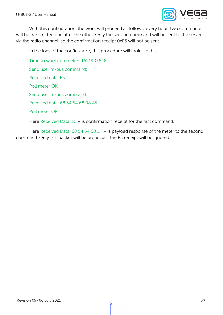

With this configuration, the work will proceed as follows: every hour, two commands will be transmitted one after the other. Only the second command will be sent to the server via the radio channel, so the confirmation receipt 0xE5 will not be sent.

In the logs of the configurator, this procedure will look like this:

Time to warm-up meters 1621907648

Send user m-bus command:

Received data: E5

Poll meter OK

Send user m-bus command:

Received data: 68 54 54 68 08 45 …

Poll meter OK

Here Received Data: E5 – is confirmation receipt for the first command.

Here Received Data: 68 54 54 68 ... - is payload response of the meter to the second command. Only this packet will be broadcast, the E5 receipt will be ignored.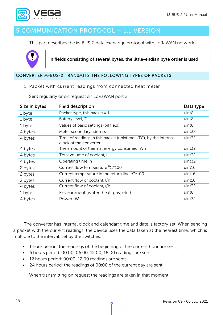

## <span id="page-27-0"></span>5 COMMUNICATION PROTOCOL – 1.1 VERSION

This part describes the M-BUS-2 data exchange protocol with LoRaWAN network.



In fields consisting of several bytes, the little-endian byte order is used

#### <span id="page-27-2"></span><span id="page-27-1"></span>CONVERTER M-BUS-2 TRANSMITS THE FOLLOWING TYPES OF PACKETS

1. Packet with current readings from connected heat meter

| Size in bytes | <b>Field description</b>                                                                  | Data type         |
|---------------|-------------------------------------------------------------------------------------------|-------------------|
| 1 byte        | Packet type, this packet = $1$                                                            | uint8             |
| 1 byte        | Battery level, %                                                                          | uint8             |
| 1 byte        | Values of basic settings (bit field)                                                      | uint8             |
| 4 bytes       | Meter secondary address                                                                   | uint32            |
| 4 bytes       | Time of readings in this packet (unixtime UTC), by the internal<br>clock of the converter | uint32            |
| 4 bytes       | The amount of thermal energy consumed, Wh                                                 | uint32            |
| 4 bytes       | Total volume of coolant, l                                                                | uint32            |
| 4 bytes       | Operating time, h                                                                         | uint32            |
| 2 bytes       | Current flow temperature <sup>0</sup> C*100                                               | uint16            |
| 2 bytes       | Current temperature in the return line <sup>0</sup> C*100                                 | uint16            |
| 2 bytes       | Current flow of coolant, I/h                                                              | uint16            |
| 4 bytes       | Current flow of coolant, I/h                                                              | uint32            |
| 1 byte        | Environment (water, heat, gas, etc.)                                                      | uint <sub>8</sub> |
| 4 bytes       | Power, W                                                                                  | uint32            |

Sent regularly or on request on LoRaWAN port 2

The converter has internal clock and calendar; time and date is factory set. When sending a packet with the current readings, the device uses the data taken at the nearest time, which is multiple to the interval, set by the switches:

- 1 hour period: the readings of the beginning of the current hour are sent;
- 6 hours period: 00:00, 06:00, 12:00, 18:00 readings are sent;
- 12 hours period: 00:00, 12:00 readings are sent;
- 24 hours period: the readings of 00:00 of the current day are sent.

When transmitting on request the readings are taken in that moment.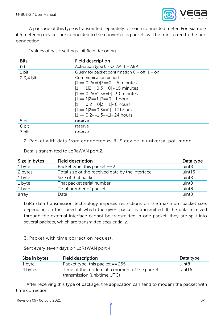

A package of this type is transmitted separately for each connected meter. For example, if 5 metering devices are connected to the converter, 5 packets will be transferred to the next connection.

"Values of basic settings" bit field decoding

| <b>Bits</b> | <b>Field description</b>                          |
|-------------|---------------------------------------------------|
| 0 bit       | Activation type $0$ - OTAA, $1 - ABP$             |
| 1 bit       | Query for packet confirmation $0 -$ off, $1 -$ on |
| $2.3,4$ bit | Communication period:                             |
|             | $ 1 == 0 2 == 0 3 == 0  - 5$ minutes              |
|             | $ 1 == 1 2 == 0 3 == 0  - 15$ minutes             |
|             | $ 1 == 0 2 == 1 3 == 0  - 30$ minutes             |
|             | $ 1 == 1 2 == 1 3 == 0  - 1$ hour                 |
|             | $ 1 == 0 2 == 0 3 == 1 $ - 6 hours                |
|             | $ 1 == 1 2 == 0 3 == 1 $ - 12 hours               |
|             | $ 1 == 0 2 == 1 3 == 1  - 24$ hours               |
| 5 bit       | reserve                                           |
| 6 bit       | reserve                                           |
| 7 bit       | reserve                                           |

<span id="page-28-0"></span>2. Packet with data from connected M-BUS device in universal poll mode

Data is transmitted to LoRaWAN port 2.

| Size in bytes | Field description                                | Data type         |
|---------------|--------------------------------------------------|-------------------|
| 1 byte        | Packet type, this packet $== 3$                  | uint8             |
| 2 bytes       | Total size of the received data by the interface | uint16            |
| 1 byte        | Size of that packet                              | uint8             |
| 1 byte        | That packet serial number                        | uint8             |
| 1 byte        | Total number of packets                          | uint <sub>8</sub> |
| array         | Data                                             | uint <sub>8</sub> |

LoRa data transmission technology imposes restrictions on the maximum packet size, depending on the speed at which the given packet is transmitted. If the data received through the external interface cannot be transmitted in one packet, they are split into several packets, which are transmitted sequentially.

<span id="page-28-1"></span>3. Packet with time correction request.

Sent every seven days on LoRaWAN port 4

| Size in bytes | Field description                                                          | Data type         |
|---------------|----------------------------------------------------------------------------|-------------------|
| 1 byte        | Packet type, this packet $== 255$                                          | uint <sub>8</sub> |
| 4 bytes       | Time of the modem at a moment of the packet<br>transmission (unixtime UTC) | uint16            |

After receiving this type of package, the application can send to modem the packet with time correction.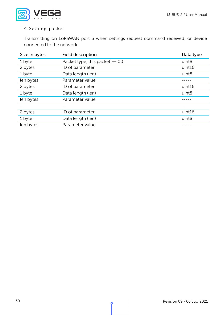

#### <span id="page-29-0"></span>4. Settings packet

Transmitting on LoRaWAN port 3 when settings request command received, or device connected to the network

| Size in bytes | Field description                | Data type         |
|---------------|----------------------------------|-------------------|
| 1 byte        | Packet type, this packet $== 00$ | uint <sub>8</sub> |
| 2 bytes       | ID of parameter                  | uint16            |
| 1 byte        | Data length (len)                | uint <sub>8</sub> |
| len bytes     | Parameter value                  |                   |
| 2 bytes       | ID of parameter                  | uint16            |
| 1 byte        | Data length (len)                | uint8             |
| len bytes     | Parameter value                  |                   |
| $\cdots$      | $\cdots$                         | $\cdots$          |
| 2 bytes       | ID of parameter                  | uint16            |
| 1 byte        | Data length (len)                | uint8             |
| len bytes     | Parameter value                  |                   |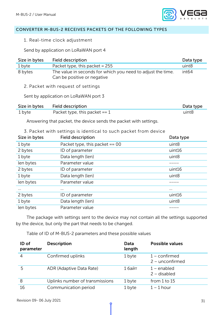

#### <span id="page-30-1"></span><span id="page-30-0"></span>CONVERTER M-BUS-2 RECEIVES PACKETS OF THE FOLLOWING TYPES

1. Real-time clock adjustment

Send by application on LoRaWAN port 4

<span id="page-30-3"></span><span id="page-30-2"></span>

| Size in bytes                                                                                                                        | <b>Field description</b>                                                                   | Data type          |  |  |
|--------------------------------------------------------------------------------------------------------------------------------------|--------------------------------------------------------------------------------------------|--------------------|--|--|
| 1 byte                                                                                                                               | Packet type, this packet = 255                                                             | uint8              |  |  |
| 8 bytes                                                                                                                              | The value in seconds for which you need to adjust the time.<br>Can be positive or negative | int <sub>64</sub>  |  |  |
|                                                                                                                                      | 2. Packet with request of settings                                                         |                    |  |  |
|                                                                                                                                      | Sent by application on LoRaWAN port 3                                                      |                    |  |  |
| Size in bytes                                                                                                                        | <b>Field description</b>                                                                   | Data type          |  |  |
| 1 byte                                                                                                                               | Packet type, this packet $== 1$                                                            | uint8              |  |  |
| Answering that packet, the device sends the packet with settings.<br>3. Packet with settings is identical to such packet from device |                                                                                            |                    |  |  |
|                                                                                                                                      |                                                                                            |                    |  |  |
|                                                                                                                                      |                                                                                            |                    |  |  |
| Size in bytes                                                                                                                        | <b>Field description</b>                                                                   | Data type<br>uint8 |  |  |
| 1 byte<br>2 bytes                                                                                                                    | Packet type, this packet $== 00$<br>ID of parameter                                        | uint16             |  |  |
| 1 byte                                                                                                                               | Data length (len)                                                                          | uint8              |  |  |
| len bytes                                                                                                                            | Parameter value                                                                            | -----              |  |  |
| 2 bytes                                                                                                                              | ID of parameter                                                                            | uint16             |  |  |
| 1 byte                                                                                                                               | Data length (len)                                                                          | uint8              |  |  |
| len bytes                                                                                                                            | Parameter value                                                                            |                    |  |  |
|                                                                                                                                      |                                                                                            | $\cdots$           |  |  |
| 2 bytes                                                                                                                              | ID of parameter                                                                            | uint16             |  |  |
| 1 byte                                                                                                                               | Data length (len)                                                                          | uint <sub>8</sub>  |  |  |

The package with settings sent to the device may not contain all the settings supported by the device, but only the part that needs to be changed.

Table of ID of M-BUS-2 parameters and these possible values

| ID of<br>parameter | <b>Description</b>              | Data<br>length | <b>Possible values</b>               |
|--------------------|---------------------------------|----------------|--------------------------------------|
| $\overline{4}$     | Confirmed uplinks               | 1 byte         | $1$ – confirmed<br>$2 -$ unconfirmed |
| 5                  | ADR (Adaptive Data Rate)        | 1 байт         | $1$ – enabled<br>$2 -$ disabled      |
| 8                  | Uplinks number of transmissions | 1 byte         | from $1$ to $15$                     |
| 16                 | Communication period            | 1 byte         | $1 - 1$ hour                         |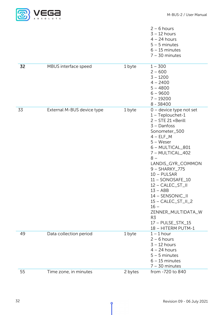

|    |                            |         | $2 - 6$ hours<br>$3 - 12$ hours<br>$4 - 24$ hours<br>$5 - 5$ minutes<br>$6 - 15$ minutes<br>$7 - 30$ minutes                                                                                                                                                                                                                                                                                                                                 |
|----|----------------------------|---------|----------------------------------------------------------------------------------------------------------------------------------------------------------------------------------------------------------------------------------------------------------------------------------------------------------------------------------------------------------------------------------------------------------------------------------------------|
| 32 | MBUS interface speed       | 1 byte  | $1 - 300$<br>$2 - 600$<br>$3 - 1200$<br>$4 - 2400$<br>$5 - 4800$<br>$6 - 9600$<br>$7 - 19200$<br>$8 - 38400$                                                                                                                                                                                                                                                                                                                                 |
| 33 | External M-BUS device type | 1 byte  | 0 - device type not set<br>$1$ – Teplouchet-1<br>2 - STE 21 «Berill<br>$3 -$ Danfoss<br>Sonometer_500<br>$4 - ELF_M$<br>$5 -$ Weser<br>6 - MULTICAL_801<br>7 - MULTICAL_402<br>$8 -$<br>LANDIS_GYR_COMMON<br>9 - SHARKY_775<br>$10 - PULSAR$<br>11 - SONOSAFE_10<br>12 - CALEC_ST_II<br>$13 - ABB$<br>14 - SENSONIC_II<br>$15 - CALEC_ST_III_2$<br>$16 -$<br>ZENNER_MULTIDATA_W<br>R <sub>3</sub><br>17 - PULSE_STK_15<br>18 - HITERM PUTM-1 |
| 49 | Data collection period     | 1 byte  | $1 - 1$ hour<br>$2 - 6$ hours<br>$3 - 12$ hours<br>$4 - 24$ hours<br>$5 - 5$ minutes<br>$6 - 15$ minutes<br>$7 - 30$ minutes                                                                                                                                                                                                                                                                                                                 |
| 55 | Time zone, in minutes      | 2 bytes | from -720 to 840                                                                                                                                                                                                                                                                                                                                                                                                                             |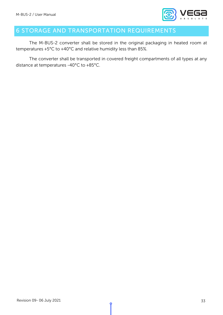

## <span id="page-32-0"></span>6 STORAGE AND TRANSPORTATION REQUIREMENTS

The M-BUS-2 converter shall be stored in the original packaging in heated room at temperatures +5°С to +40°С and relative humidity less than 85%.

The converter shall be transported in covered freight compartments of all types at any distance at temperatures -40°C to +85°C.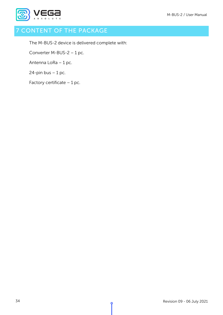

## <span id="page-33-0"></span>**CONTENT OF THE PACKAGE**

The M-BUS-2 device is delivered complete with:

Converter M-BUS-2 – 1 pc.

Antenna LoRa – 1 pc.

 $24$ -pin bus  $-1$  pc.

Factory certificate – 1 pc.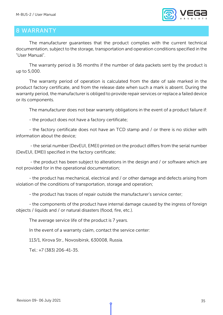

### <span id="page-34-0"></span>8 WARRANTY

The manufacturer guarantees that the product complies with the current technical documentation, subject to the storage, transportation and operation conditions specified in the "User Manual".

The warranty period is 36 months if the number of data packets sent by the product is up to 5,000.

The warranty period of operation is calculated from the date of sale marked in the product factory certificate, and from the release date when such a mark is absent. During the warranty period, the manufacturer is obliged to provide repair services or replace a failed device or its components.

The manufacturer does not bear warranty obligations in the event of a product failure if:

- the product does not have a factory certificate;

- the factory certificate does not have an TCD stamp and / or there is no sticker with information about the device;

- the serial number (DevEUI, EMEI) printed on the product differs from the serial number (DevEUI, EMEI) specified in the factory certificate;

- the product has been subject to alterations in the design and / or software which are not provided for in the operational documentation;

- the product has mechanical, electrical and / or other damage and defects arising from violation of the conditions of transportation, storage and operation;

- the product has traces of repair outside the manufacturer's service center;

- the components of the product have internal damage caused by the ingress of foreign objects / liquids and / or natural disasters (flood, fire, etc.).

The average service life of the product is 7 years.

In the event of a warranty claim, contact the service center:

113/1, Kirova Str., Novosibirsk, 630008, Russia.

Tel.: +7 (383) 206-41-35.